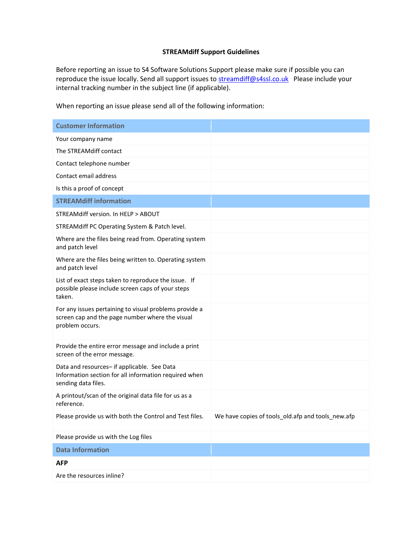## **STREAMdiff Support Guidelines**

Before reporting an issue to S4 Software Solutions Support please make sure if possible you can reproduce the issue locally. Send all support issues to **streamdiff@s4ssl.co.uk** Please include your internal tracking number in the subject line (if applicable).

When reporting an issue please send all of the following information:

| <b>Customer Information</b>                                                                                                  |                                                   |
|------------------------------------------------------------------------------------------------------------------------------|---------------------------------------------------|
| Your company name                                                                                                            |                                                   |
| The STREAMdiff contact                                                                                                       |                                                   |
| Contact telephone number                                                                                                     |                                                   |
| Contact email address                                                                                                        |                                                   |
| Is this a proof of concept                                                                                                   |                                                   |
| <b>STREAMdiff information</b>                                                                                                |                                                   |
| STREAMdiff version. In HELP > ABOUT                                                                                          |                                                   |
| STREAMdiff PC Operating System & Patch level.                                                                                |                                                   |
| Where are the files being read from. Operating system<br>and patch level                                                     |                                                   |
| Where are the files being written to. Operating system<br>and patch level                                                    |                                                   |
| List of exact steps taken to reproduce the issue. If<br>possible please include screen caps of your steps<br>taken.          |                                                   |
| For any issues pertaining to visual problems provide a<br>screen cap and the page number where the visual<br>problem occurs. |                                                   |
| Provide the entire error message and include a print<br>screen of the error message.                                         |                                                   |
| Data and resources- if applicable. See Data<br>Information section for all information required when<br>sending data files.  |                                                   |
| A printout/scan of the original data file for us as a<br>reference.                                                          |                                                   |
| Please provide us with both the Control and Test files.                                                                      | We have copies of tools_old.afp and tools_new.afp |
| Please provide us with the Log files                                                                                         |                                                   |
| <b>Data Information</b>                                                                                                      |                                                   |
| <b>AFP</b>                                                                                                                   |                                                   |
| Are the resources inline?                                                                                                    |                                                   |